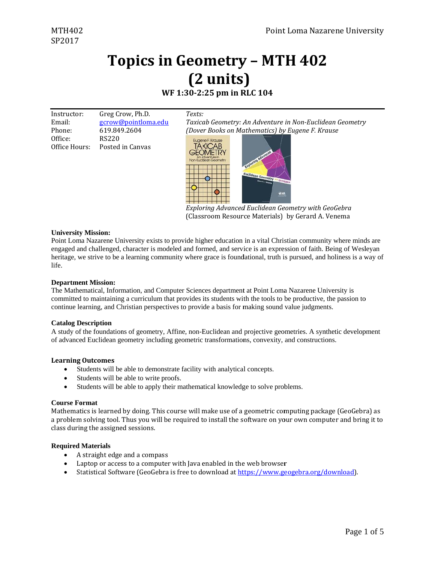### WF 1:30-2:25 pm in RLC 104

Texts:

| Instructor:   | Greg Crow, Ph.D.    |
|---------------|---------------------|
| Email:        | gcrow@pointloma.edu |
| Phone:        | 619.849.2604        |
| Office:       | RS220               |
| Office Hours: | Posted in Canvas    |

Taxicab Geometry: An Adventure in Non-Euclidean Geometry (Dover Books on Mathematics) by Eugene F. Krause



Exploring Advanced Euclidean Geometry with GeoGebra (Classroom Resource Materials) by Gerard A. Venema

#### **University Mission:**

Point Loma Nazarene University exists to provide higher education in a vital Christian community where minds are engaged and challenged, character is modeled and formed, and service is an expression of faith. Being of Wesleyan heritage, we strive to be a learning community where grace is foundational, truth is pursued, and holiness is a way of life.

#### **Department Mission:**

The Mathematical, Information, and Computer Sciences department at Point Loma Nazarene University is committed to maintaining a curriculum that provides its students with the tools to be productive, the passion to continue learning, and Christian perspectives to provide a basis for making sound value judgments.

#### **Catalog Description**

A study of the foundations of geometry, Affine, non-Euclidean and projective geometries. A synthetic development of advanced Euclidean geometry including geometric transformations, convexity, and constructions.

#### **Learning Outcomes**

- $\bullet$ Students will be able to demonstrate facility with analytical concepts.
- Students will be able to write proofs.
- Students will be able to apply their mathematical knowledge to solve problems.  $\bullet$

#### **Course Format**

Mathematics is learned by doing. This course will make use of a geometric computing package (GeoGebra) as a problem solving tool. Thus you will be required to install the software on your own computer and bring it to class during the assigned sessions.

#### **Required Materials**

- A straight edge and a compass  $\bullet$
- Laptop or access to a computer with Java enabled in the web browser
- Statistical Software (GeoGebra is free to download at https://www.geogebra.org/download).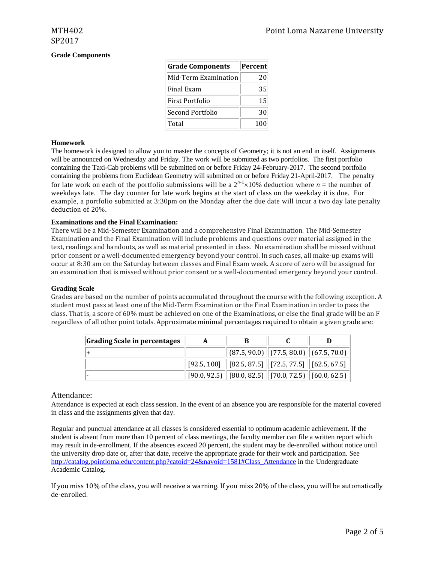#### **Grade Components**

| <b>Grade Components</b> | Percent |
|-------------------------|---------|
| Mid-Term Examination    | 20      |
| Final Exam              | 35      |
| First Portfolio         | 15      |
| Second Portfolio        | 30      |
| Total                   | 100     |

#### **Homework**

The homework is designed to allow you to master the concepts of Geometry; it is not an end in itself. Assignments will be announced on Wednesday and Friday. The work will be submitted as two portfolios. The first portfolio containing the Taxi-Cab problems will be submitted on or before Friday 24-February-2017. The second portfolio containing the problems from Euclidean Geometry will submitted on or before Friday 21-April-2017. The penalty for late work on each of the portfolio submissions will be a  $2^{n-1} \times 10\%$  deduction where  $n =$  the number of weekdays late. The day counter for late work begins at the start of class on the weekday it is due. For example, a portfolio submitted at 3:30pm on the Monday after the due date will incur a two day late penalty deduction of 20%.

#### **Examinations and the Final Examination:**

There will be a Mid-Semester Examination and a comprehensive Final Examination. The Mid-Semester Examination and the Final Examination will include problems and questions over material assigned in the text, readings and handouts, as well as material presented in class. No examination shall be missed without prior consent or a well-documented emergency beyond your control. In such cases, all make-up exams will occur at 8:30 am on the Saturday between classes and Final Exam week. A score of zero will be assigned for an examination that is missed without prior consent or a well-documented emergency beyond your control.

#### **Grading Scale**

Grades are based on the number of points accumulated throughout the course with the following exception. A student must pass at least one of the Mid-Term Examination or the Final Examination in order to pass the class. That is, a score of  $60\%$  must be achieved on one of the Examinations, or else the final grade will be an F regardless of all other point totals. Approximate minimal percentages required to obtain a given grade are:

| Grading Scale in percentages | A | В                                                                              |  |
|------------------------------|---|--------------------------------------------------------------------------------|--|
|                              |   | $\ $ (87.5, 90.0) $\ $ (77.5, 80.0) $\ $ (67.5, 70.0)                          |  |
|                              |   | $\mid$ [92.5, 100] $\mid$ [82.5, 87.5] $\mid$ [72.5, 77.5] $\mid$ [62.5, 67.5] |  |
|                              |   | $[90.0, 92.5]$ $[80.0, 82.5]$ $[70.0, 72.5]$ $[60.0, 62.5]$                    |  |

#### Attendance:

Attendance is expected at each class session. In the event of an absence you are responsible for the material covered in class and the assignments given that day.

Regular and punctual attendance at all classes is considered essential to optimum academic achievement. If the student is absent from more than 10 percent of class meetings, the faculty member can file a written report which may result in de-enrollment. If the absences exceed 20 percent, the student may be de-enrolled without notice until the university drop date or, after that date, receive the appropriate grade for their work and participation. See http://catalog.pointloma.edu/content.php?catoid=24&navoid=1581#Class\_Attendance in the Undergraduate Academic Catalog.

If you miss  $10\%$  of the class, you will receive a warning. If you miss  $20\%$  of the class, you will be automatically de‐enrolled.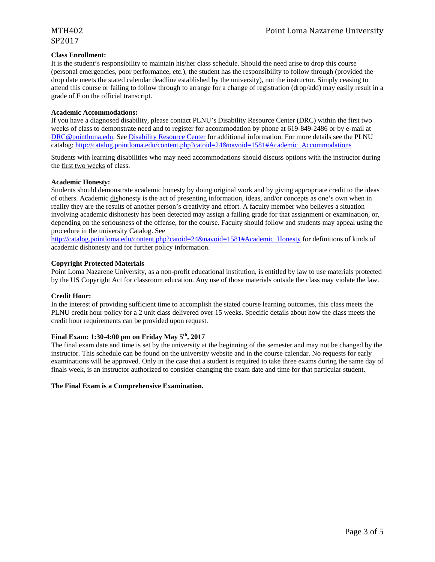# SP2017

#### **Class Enrollment:**

It is the student's responsibility to maintain his/her class schedule. Should the need arise to drop this course (personal emergencies, poor performance, etc.), the student has the responsibility to follow through (provided the drop date meets the stated calendar deadline established by the university), not the instructor. Simply ceasing to attend this course or failing to follow through to arrange for a change of registration (drop/add) may easily result in a grade of F on the official transcript.

#### **Academic Accommodations:**

If you have a diagnosed disability, please contact PLNU's Disability Resource Center (DRC) within the first two weeks of class to demonstrate need and to register for accommodation by phone at 619-849-2486 or by e-mail at DRC@pointloma.edu. See Disability Resource Center for additional information. For more details see the PLNU catalog: http://catalog.pointloma.edu/content.php?catoid=24&navoid=1581#Academic\_Accommodations

Students with learning disabilities who may need accommodations should discuss options with the instructor during the first two weeks of class.

#### **Academic Honesty:**

Students should demonstrate academic honesty by doing original work and by giving appropriate credit to the ideas of others. Academic dishonesty is the act of presenting information, ideas, and/or concepts as one's own when in reality they are the results of another person's creativity and effort. A faculty member who believes a situation involving academic dishonesty has been detected may assign a failing grade for that assignment or examination, or, depending on the seriousness of the offense, for the course. Faculty should follow and students may appeal using the procedure in the university Catalog. See

http://catalog.pointloma.edu/content.php?catoid=24&navoid=1581#Academic\_Honesty for definitions of kinds of academic dishonesty and for further policy information.

#### **Copyright Protected Materials**

Point Loma Nazarene University, as a non-profit educational institution, is entitled by law to use materials protected by the US Copyright Act for classroom education. Any use of those materials outside the class may violate the law.

#### **Credit Hour:**

In the interest of providing sufficient time to accomplish the stated course learning outcomes, this class meets the PLNU credit hour policy for a 2 unit class delivered over 15 weeks. Specific details about how the class meets the credit hour requirements can be provided upon request.

### **Final Exam: 1:30-4:00 pm on Friday May 5th, 2017**

The final exam date and time is set by the university at the beginning of the semester and may not be changed by the instructor. This schedule can be found on the university website and in the course calendar. No requests for early examinations will be approved. Only in the case that a student is required to take three exams during the same day of finals week, is an instructor authorized to consider changing the exam date and time for that particular student.

#### **The Final Exam is a Comprehensive Examination.**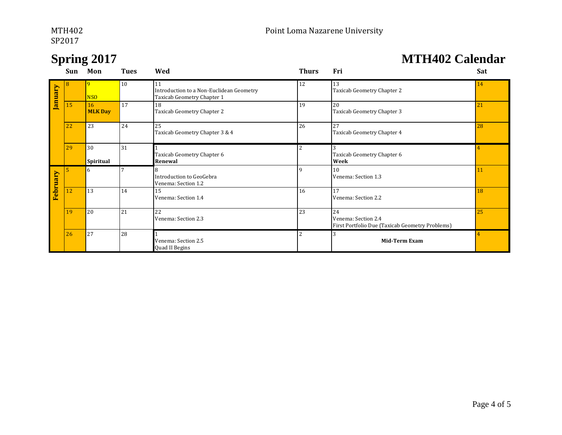# SP2017 and the set of the set of the set of the set of the set of the set of the set of the set of the set of the set of the set of the set of the set of the set of the set of the set of the set of the set of the set of th

## **Spring 2017 MTH402 Calendar**

|          | Sun | Mon                  | <b>Tues</b> | Wed                                                                          | <b>Thurs</b> | Fri                                                                          | Sat             |
|----------|-----|----------------------|-------------|------------------------------------------------------------------------------|--------------|------------------------------------------------------------------------------|-----------------|
| January  |     | 9<br><b>NSO</b>      | 10          | 11<br>Introduction to a Non-Euclidean Geometry<br>Taxicab Geometry Chapter 1 | 12           | 13<br>Taxicab Geometry Chapter 2                                             | 14              |
|          | 15  | 16<br><b>MLK Day</b> | 17          | 18<br>Taxicab Geometry Chapter 2                                             | 19           | 20<br>Taxicab Geometry Chapter 3                                             | 21              |
|          | 22  | 23                   | 24          | 25<br>Taxicab Geometry Chapter 3 & 4                                         | 26           | 27<br>Taxicab Geometry Chapter 4                                             | 28              |
|          | 29  | 30<br>Spiritual      | 31          | Taxicab Geometry Chapter 6<br>Renewal                                        | 2            | Taxicab Geometry Chapter 6<br>Week                                           |                 |
| February | 5   | 6                    |             | Introduction to GeoGebra<br>Venema: Section 1.2                              | q            | 10<br>Venema: Section 1.3                                                    | $\overline{11}$ |
|          | 12  | 13                   | 14          | 15<br>Venema: Section 1.4                                                    | 16           | 17<br>Venema: Section 2.2                                                    | 18              |
|          | 19  | 20                   | 21          | 22<br>Venema: Section 2.3                                                    | 23           | 24<br>Venema: Section 2.4<br>First Portfolio Due (Taxicab Geometry Problems) | 25              |
|          | 26  | 27                   | 28          | Venema: Section 2.5<br>Quad II Begins                                        | 2            | 3<br><b>Mid-Term Exam</b>                                                    |                 |